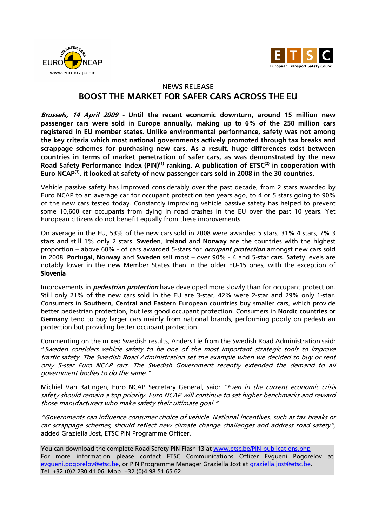



## NEWS RELEASE

## **BOOST THE MARKET FOR SAFER CARS ACROSS THE EU**

**Brussels, 14 April 2009 - Until the recent economic downturn, around 15 million new passenger cars were sold in Europe annually, making up to 6% of the 250 million cars registered in EU member states. Unlike environmental performance, safety was not among the key criteria which most national governments actively promoted through tax breaks and scrappage schemes for purchasing new cars. As a result, huge differences exist between countries in terms of market penetration of safer cars, as was demonstrated by the new Road Safety Performance Index (PIN)(1) ranking. A publication of ETSC(2) in cooperation with Euro NCAP(3), it looked at safety of new passenger cars sold in 2008 in the 30 countries.** 

Vehicle passive safety has improved considerably over the past decade, from 2 stars awarded by Euro NCAP to an average car for occupant protection ten years ago, to 4 or 5 stars going to 90% of the new cars tested today. Constantly improving vehicle passive safety has helped to prevent some 10,600 car occupants from dying in road crashes in the EU over the past 10 years. Yet European citizens do not benefit equally from these improvements.

On average in the EU, 53% of the new cars sold in 2008 were awarded 5 stars, 31% 4 stars, 7% 3 stars and still 1% only 2 stars. **Sweden**, **Ireland** and **Norway** are the countries with the highest proportion – above 60% - of cars awarded 5-stars for **occupant protection** amongst new cars sold in 2008. **Portugal**, **Norway** and **Sweden** sell most – over 90% - 4 and 5-star cars. Safety levels are notably lower in the new Member States than in the older EU-15 ones, with the exception of Slovenia.

Improvements in **pedestrian protection** have developed more slowly than for occupant protection. Still only 21% of the new cars sold in the EU are 3-star, 42% were 2-star and 29% only 1-star. Consumers in **Southern, Central and Eastern** European countries buy smaller cars, which provide better pedestrian protection, but less good occupant protection. Consumers in **Nordic countries** or **Germany** tend to buy larger cars mainly from national brands, performing poorly on pedestrian protection but providing better occupant protection.

Commenting on the mixed Swedish results, Anders Lie from the Swedish Road Administration said: "Sweden considers vehicle safety to be one of the most important strategic tools to improve traffic safety. The Swedish Road Administration set the example when we decided to buy or rent only 5-star Euro NCAP cars. The Swedish Government recently extended the demand to all government bodies to do the same."

Michiel Van Ratingen, Euro NCAP Secretary General, said: "Even in the current economic crisis safety should remain a top priority. Euro NCAP will continue to set higher benchmarks and reward those manufacturers who make safety their ultimate goal."

"Governments can influence consumer choice of vehicle. National incentives, such as tax breaks or car scrappage schemes, should reflect new climate change challenges and address road safety", added Graziella Jost, ETSC PIN Programme Officer.

You can download the complete Road Safety PIN Flash 13 at www.etsc.be/PIN-publications.php For more information please contact ETSC Communications Officer Evgueni Pogorelov at evqueni.pogorelov@etsc.be, or PIN Programme Manager Graziella Jost at graziella.jost@etsc.be. Tel. +32 (0)2 230.41.06. Mob. +32 (0)4 98.51.65.62.